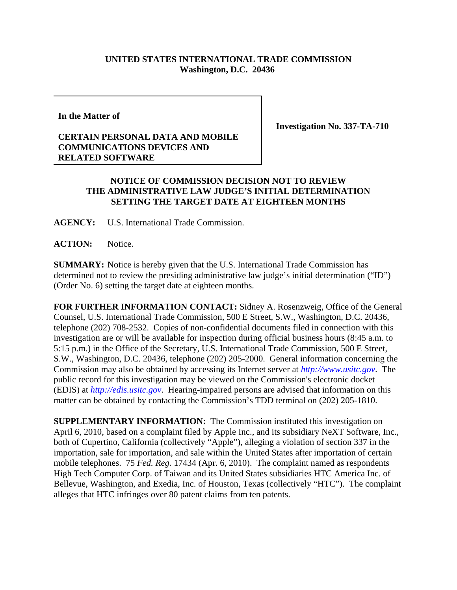## **UNITED STATES INTERNATIONAL TRADE COMMISSION Washington, D.C. 20436**

**In the Matter of**

## **CERTAIN PERSONAL DATA AND MOBILE COMMUNICATIONS DEVICES AND RELATED SOFTWARE**

**Investigation No. 337-TA-710**

## **NOTICE OF COMMISSION DECISION NOT TO REVIEW THE ADMINISTRATIVE LAW JUDGE'S INITIAL DETERMINATION SETTING THE TARGET DATE AT EIGHTEEN MONTHS**

**AGENCY:** U.S. International Trade Commission.

**ACTION:** Notice.

**SUMMARY:** Notice is hereby given that the U.S. International Trade Commission has determined not to review the presiding administrative law judge's initial determination ("ID") (Order No. 6) setting the target date at eighteen months.

**FOR FURTHER INFORMATION CONTACT:** Sidney A. Rosenzweig, Office of the General Counsel, U.S. International Trade Commission, 500 E Street, S.W., Washington, D.C. 20436, telephone (202) 708-2532. Copies of non-confidential documents filed in connection with this investigation are or will be available for inspection during official business hours (8:45 a.m. to 5:15 p.m.) in the Office of the Secretary, U.S. International Trade Commission, 500 E Street, S.W., Washington, D.C. 20436, telephone (202) 205-2000. General information concerning the Commission may also be obtained by accessing its Internet server at *http://www.usitc.gov*. The public record for this investigation may be viewed on the Commission's electronic docket (EDIS) at *http://edis.usitc.gov*. Hearing-impaired persons are advised that information on this matter can be obtained by contacting the Commission's TDD terminal on (202) 205-1810.

**SUPPLEMENTARY INFORMATION:** The Commission instituted this investigation on April 6, 2010, based on a complaint filed by Apple Inc., and its subsidiary NeXT Software, Inc., both of Cupertino, California (collectively "Apple"), alleging a violation of section 337 in the importation, sale for importation, and sale within the United States after importation of certain mobile telephones. 75 *Fed. Reg.* 17434 (Apr. 6, 2010). The complaint named as respondents High Tech Computer Corp. of Taiwan and its United States subsidiaries HTC America Inc. of Bellevue, Washington, and Exedia, Inc. of Houston, Texas (collectively "HTC"). The complaint alleges that HTC infringes over 80 patent claims from ten patents.